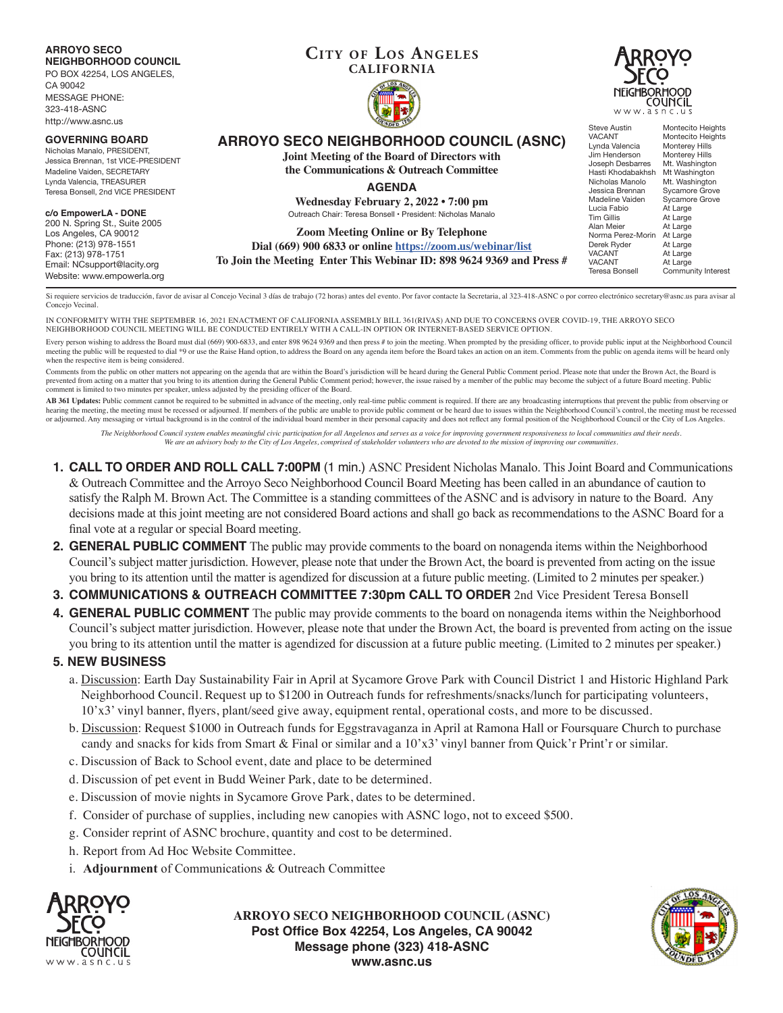**ARROYO SECO NEIGHBORHOOD COUNCIL**

PO BOX 42254, LOS ANGELES,

CA 90042 MESSAGE PHONE: 323-418-ASNC http://www.asnc.us

#### **GOVERNING BOARD**

Nicholas Manalo, PRESIDENT, Jessica Brennan, 1st VICE-PRESIDENT Madeline Vaiden, SECRETARY Lynda Valencia, TREASURER Teresa Bonsell, 2nd VICE PRESIDENT

#### **c/o EmpowerLA - DONE**

200 N. Spring St., Suite 2005 Los Angeles, CA 90012 Phone: (213) 978-1551 Fax: (213) 978-1751 Email: NCsupport@lacity.org Website: www.empowerla.org

### **Cit y of Los Angeles CALIFORNIA**





**ARROYO SECO NEIGHBORHOOD COUNCIL (ASNC)**

**Joint Meeting of the Board of Directors with the Communications & Outreach Committee**

**AGENDA**

**Wednesday February 2, 2022 • 7:00 pm** Outreach Chair: Teresa Bonsell • President: Nicholas Manalo

**Zoom Meeting Online or By Telephone Dial (669) 900 6833 or online https://zoom.us/webinar/list To Join the Meeting Enter This Webinar ID: 898 9624 9369 and Press #** Steve Austin Montecito Heights<br>
VACANT Montecito Heights Montecito Heights<br>Monterey Hills Lynda Valencia<br>
Unda Valencia<br>
Monterey Hills<br>
Monterey Hills Jim Henderson<br>Joseph Desbarres Mt. Washington<br>Mt Washington Hasti Khodabakhsh<br>Nicholas Manolo Nicholas Manolo Mt. Washington<br>Jessica Brennan Sycamore Grove Sycamore Grove<br>Sycamore Grove Madeline Vaiden<br>Lucia Fabio Lucia Fabio At Large<br>
Tim Gillis At Large Tim Gillis At Large<br>Alan Meier At Large At Large<br>At Large Norma Perez-Morin<br>Derek Ryder Derek Ryder At Large VACANT At Large<br>VACANT At Large VACANT At Large<br>Teresa Bonsell Commu Community Interest

Si requiere servicios de traducción, favor de avisar al Concejo Vecinal 3 días de trabajo (72 horas) antes del evento. Por favor contacte la Secretaria, al 323-418-ASNC o por correo electrónico secretary@asnc.us para avisa Concejo Vecinal.

IN CONFORMITY WITH THE SEPTEMBER 16, 2021 ENACTMENT OF CALIFORNIA ASSEMBLY BILL 361(RIVAS) AND DUE TO CONCERNS OVER COVID-19, THE ARROYO SECO NEIGHBORHOOD COUNCIL MEETING WILL BE CONDUCTED ENTIRELY WITH A CALL-IN OPTION OR INTERNET-BASED SERVICE OPTION.

Every person wishing to address the Board must dial (669) 900-6833, and enter 898 9624 9369 and then press # to join the meeting. When prompted by the presiding officer, to provide public input at the Neighborhood Council meeting the public will be requested to dial \*9 or use the Raise Hand option, to address the Board on any agenda item before the Board takes an action on an item. Comments from the public on agenda items will be heard only when the respective item is being considered.

Comments from the public on other matters not appearing on the agenda that are within the Board's jurisdiction will be heard during the General Public Comment period. Please note that under the Brown Act, the Board is prevented from acting on a matter that you bring to its attention during the General Public Comment period; however, the issue raised by a member of the public may become the subject of a future Board meeting. Public comment is limited to two minutes per speaker, unless adjusted by the presiding officer of the Board.

AB 361 Updates: Public comment cannot be required to be submitted in advance of the meeting, only real-time public comment is required. If there are any broadcasting interruptions that prevent the public from observing or hearing the meeting, the meeting must be recessed or adjourned. If members of the public are unable to provide public comment or be heard due to issues within the Neighborhood Council's control, the meeting must be recesse or adjourned. Any messaging or virtual background is in the control of the individual board member in their personal capacity and does not reflect any formal position of the Neighborhood Council or the City of Los Angeles.

*The Neighborhood Council system enables meaningful civic participation for all Angelenos and serves as a voice for improving government responsiveness to local communities and their needs. We are an advisory body to the City of Los Angeles, comprised of stakeholder volunteers who are devoted to the mission of improving our communities.*

- **1. CALL TO ORDER AND ROLL CALL 7:00PM** (1 min.) ASNC President Nicholas Manalo. This Joint Board and Communications & Outreach Committee and the Arroyo Seco Neighborhood Council Board Meeting has been called in an abundance of caution to satisfy the Ralph M. Brown Act. The Committee is a standing committees of the ASNC and is advisory in nature to the Board. Any decisions made at this joint meeting are not considered Board actions and shall go back as recommendations to the ASNC Board for a final vote at a regular or special Board meeting.
- **2. GENERAL PUBLIC COMMENT** The public may provide comments to the board on nonagenda items within the Neighborhood Council's subject matter jurisdiction. However, please note that under the Brown Act, the board is prevented from acting on the issue you bring to its attention until the matter is agendized for discussion at a future public meeting. (Limited to 2 minutes per speaker.)
- **3. COMMUNICATIONS & OUTREACH COMMITTEE 7:30pm CALL TO ORDER** 2nd Vice President Teresa Bonsell
- **4. GENERAL PUBLIC COMMENT** The public may provide comments to the board on nonagenda items within the Neighborhood Council's subject matter jurisdiction. However, please note that under the Brown Act, the board is prevented from acting on the issue you bring to its attention until the matter is agendized for discussion at a future public meeting. (Limited to 2 minutes per speaker.)

## **5. NEW BUSINESS**

- a. Discussion: Earth Day Sustainability Fair in April at Sycamore Grove Park with Council District 1 and Historic Highland Park Neighborhood Council. Request up to \$1200 in Outreach funds for refreshments/snacks/lunch for participating volunteers, 10'x3' vinyl banner, flyers, plant/seed give away, equipment rental, operational costs, and more to be discussed.
- b. Discussion: Request \$1000 in Outreach funds for Eggstravaganza in April at Ramona Hall or Foursquare Church to purchase candy and snacks for kids from Smart & Final or similar and a 10'x3' vinyl banner from Quick'r Print'r or similar.
- c. Discussion of Back to School event, date and place to be determined
- d. Discussion of pet event in Budd Weiner Park, date to be determined.
- e. Discussion of movie nights in Sycamore Grove Park, dates to be determined.
- f. Consider of purchase of supplies, including new canopies with ASNC logo, not to exceed \$500.
- g. Consider reprint of ASNC brochure, quantity and cost to be determined.
- h. Report from Ad Hoc Website Committee.
- i. **Adjournment** of Communications & Outreach Committee



**ARROYO SECO NEIGHBORHOOD COUNCIL (ASNC) Post Office Box 42254, Los Angeles, CA 90042 Message phone (323) 418-ASNC www.asnc.us**